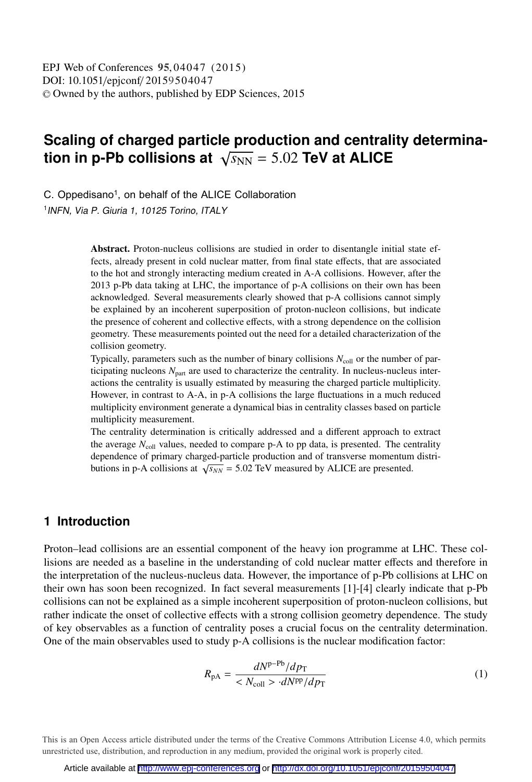# **Scaling of charged particle production and centrality determination in p-Pb collisions at**  $\sqrt{s_{NN}} = 5.02$  **TeV at ALICE**

C. Oppedisano<sup>1</sup>, on behalf of the ALICE Collaboration 1 INFN, Via P. Giuria 1, 10125 Torino, ITALY

> Abstract. Proton-nucleus collisions are studied in order to disentangle initial state effects, already present in cold nuclear matter, from final state effects, that are associated to the hot and strongly interacting medium created in A-A collisions. However, after the 2013 p-Pb data taking at LHC, the importance of p-A collisions on their own has been acknowledged. Several measurements clearly showed that p-A collisions cannot simply be explained by an incoherent superposition of proton-nucleon collisions, but indicate the presence of coherent and collective effects, with a strong dependence on the collision geometry. These measurements pointed out the need for a detailed characterization of the collision geometry.

> Typically, parameters such as the number of binary collisions  $N_{\text{coll}}$  or the number of participating nucleons  $N_{\text{part}}$  are used to characterize the centrality. In nucleus-nucleus interactions the centrality is usually estimated by measuring the charged particle multiplicity. However, in contrast to A-A, in p-A collisions the large fluctuations in a much reduced multiplicity environment generate a dynamical bias in centrality classes based on particle multiplicity measurement.

> The centrality determination is critically addressed and a different approach to extract the average  $N_{\text{coll}}$  values, needed to compare p-A to pp data, is presented. The centrality dependence of primary charged-particle production and of transverse momentum distributions in p-A collisions at  $\sqrt{s_{NN}}$  = 5.02 TeV measured by ALICE are presented.

## **1 Introduction**

Proton–lead collisions are an essential component of the heavy ion programme at LHC. These collisions are needed as a baseline in the understanding of cold nuclear matter effects and therefore in the interpretation of the nucleus-nucleus data. However, the importance of p-Pb collisions at LHC on their own has soon been recognized. In fact several measurements [1]-[4] clearly indicate that p-Pb collisions can not be explained as a simple incoherent superposition of proton-nucleon collisions, but rather indicate the onset of collective effects with a strong collision geometry dependence. The study of key observables as a function of centrality poses a crucial focus on the centrality determination. One of the main observables used to study p-A collisions is the nuclear modification factor:

$$
R_{\rm pA} = \frac{dN^{\rm p-Pb}/dp_{\rm T}}{M_{\rm coll} > dN^{\rm pp}/dp_{\rm T}}
$$
 (1)

This is an Open Access article distributed under the terms of the Creative Commons Attribution License 4.0, which permits unrestricted use, distribution, and reproduction in any medium, provided the original work is properly cited.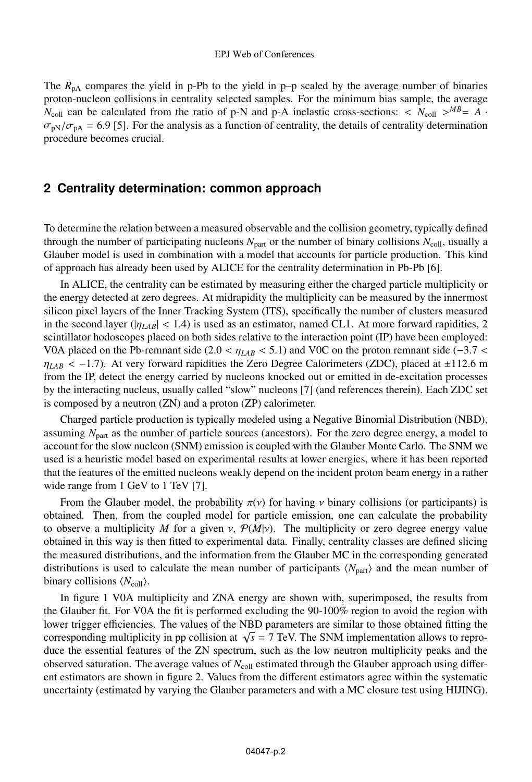#### EPJ Web of Conferences

The  $R_{pA}$  compares the yield in p-Pb to the yield in p-p scaled by the average number of binaries proton-nucleon collisions in centrality selected samples. For the minimum bias sample, the average  $N_{\text{coll}}$  can be calculated from the ratio of p-N and p-A inelastic cross-sections:  $\langle N_{\text{coll}} \rangle^{MB} = A$ .  $\sigma_{\rm pN}/\sigma_{\rm pA}$  = 6.9 [5]. For the analysis as a function of centrality, the details of centrality determination procedure becomes crucial.

### **2 Centrality determination: common approach**

To determine the relation between a measured observable and the collision geometry, typically defined through the number of participating nucleons  $N_{\text{part}}$  or the number of binary collisions  $N_{\text{coll}}$ , usually a Glauber model is used in combination with a model that accounts for particle production. This kind of approach has already been used by ALICE for the centrality determination in Pb-Pb [6].

In ALICE, the centrality can be estimated by measuring either the charged particle multiplicity or the energy detected at zero degrees. At midrapidity the multiplicity can be measured by the innermost silicon pixel layers of the Inner Tracking System (ITS), specifically the number of clusters measured in the second layer ( $|\eta_{LAB}| < 1.4$ ) is used as an estimator, named CL1. At more forward rapidities, 2 scintillator hodoscopes placed on both sides relative to the interaction point (IP) have been employed: V0A placed on the Pb-remnant side (2.0 <  $\eta_{LAB}$  < 5.1) and V0C on the proton remnant side (-3.7 <  $\eta_{LAB}$  < -1.7). At very forward rapidities the Zero Degree Calorimeters (ZDC), placed at  $\pm 112.6$  m from the IP, detect the energy carried by nucleons knocked out or emitted in de-excitation processes by the interacting nucleus, usually called "slow" nucleons [7] (and references therein). Each ZDC set is composed by a neutron (ZN) and a proton (ZP) calorimeter.

Charged particle production is typically modeled using a Negative Binomial Distribution (NBD), assuming *N*<sub>part</sub> as the number of particle sources (ancestors). For the zero degree energy, a model to account for the slow nucleon (SNM) emission is coupled with the Glauber Monte Carlo. The SNM we used is a heuristic model based on experimental results at lower energies, where it has been reported that the features of the emitted nucleons weakly depend on the incident proton beam energy in a rather wide range from 1 GeV to 1 TeV [7].

From the Glauber model, the probability  $\pi(v)$  for having v binary collisions (or participants) is obtained. Then, from the coupled model for particle emission, one can calculate the probability to observe a multiplicity *M* for a given  $v$ ,  $P(M|v)$ . The multiplicity or zero degree energy value obtained in this way is then fitted to experimental data. Finally, centrality classes are defined slicing the measured distributions, and the information from the Glauber MC in the corresponding generated distributions is used to calculate the mean number of participants  $\langle N_{\text{part}} \rangle$  and the mean number of binary collisions  $\langle N_{\text{coll}} \rangle$ .

In figure 1 V0A multiplicity and ZNA energy are shown with, superimposed, the results from the Glauber fit. For V0A the fit is performed excluding the 90-100% region to avoid the region with lower trigger efficiencies. The values of the NBD parameters are similar to those obtained fitting the corresponding multiplicity in pp collision at  $\sqrt{s}$  = 7 TeV. The SNM implementation allows to reproduce the essential features of the ZN spectrum, such as the low neutron multiplicity peaks and the observed saturation. The average values of  $N_{\text{coll}}$  estimated through the Glauber approach using different estimators are shown in figure 2. Values from the different estimators agree within the systematic uncertainty (estimated by varying the Glauber parameters and with a MC closure test using HIJING).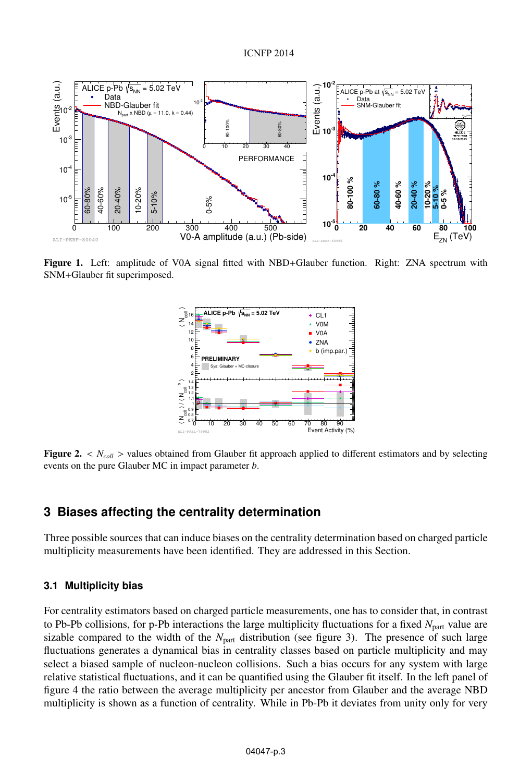

Figure 1. Left: amplitude of V0A signal fitted with NBD+Glauber function. Right: ZNA spectrum with SNM+Glauber fit superimposed.



Figure 2. <  $N_{coll}$  > values obtained from Glauber fit approach applied to different estimators and by selecting events on the pure Glauber MC in impact parameter *b*.

## **3 Biases affecting the centrality determination**

Three possible sources that can induce biases on the centrality determination based on charged particle multiplicity measurements have been identified. They are addressed in this Section.

#### **3.1 Multiplicity bias**

For centrality estimators based on charged particle measurements, one has to consider that, in contrast to Pb-Pb collisions, for p-Pb interactions the large multiplicity fluctuations for a fixed *N*part value are sizable compared to the width of the  $N_{part}$  distribution (see figure 3). The presence of such large fluctuations generates a dynamical bias in centrality classes based on particle multiplicity and may select a biased sample of nucleon-nucleon collisions. Such a bias occurs for any system with large relative statistical fluctuations, and it can be quantified using the Glauber fit itself. In the left panel of figure 4 the ratio between the average multiplicity per ancestor from Glauber and the average NBD multiplicity is shown as a function of centrality. While in Pb-Pb it deviates from unity only for very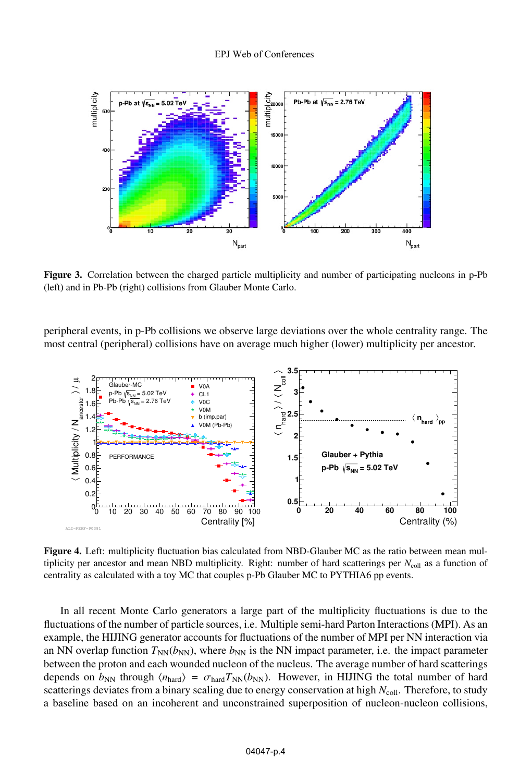

Figure 3. Correlation between the charged particle multiplicity and number of participating nucleons in p-Pb (left) and in Pb-Pb (right) collisions from Glauber Monte Carlo.

peripheral events, in p-Pb collisions we observe large deviations over the whole centrality range. The most central (peripheral) collisions have on average much higher (lower) multiplicity per ancestor.



Figure 4. Left: multiplicity fluctuation bias calculated from NBD-Glauber MC as the ratio between mean multiplicity per ancestor and mean NBD multiplicity. Right: number of hard scatterings per  $N_{\text{coll}}$  as a function of centrality as calculated with a toy MC that couples p-Pb Glauber MC to PYTHIA6 pp events.

In all recent Monte Carlo generators a large part of the multiplicity fluctuations is due to the fluctuations of the number of particle sources, i.e. Multiple semi-hard Parton Interactions (MPI). As an example, the HIJING generator accounts for fluctuations of the number of MPI per NN interaction via an NN overlap function  $T_{NN}(b_{NN})$ , where  $b_{NN}$  is the NN impact parameter, i.e. the impact parameter between the proton and each wounded nucleon of the nucleus. The average number of hard scatterings depends on  $b_{NN}$  through  $\langle n_{\text{hard}} \rangle = \sigma_{\text{hard}} T_{NN}(b_{NN})$ . However, in HIJING the total number of hard scatterings deviates from a binary scaling due to energy conservation at high *N*<sub>coll</sub>. Therefore, to study a baseline based on an incoherent and unconstrained superposition of nucleon-nucleon collisions,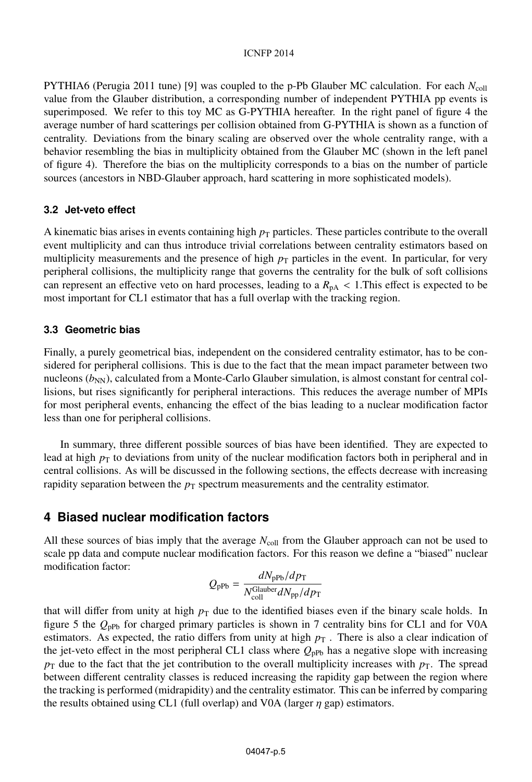#### ICNFP 2014

PYTHIA6 (Perugia 2011 tune) [9] was coupled to the p-Pb Glauber MC calculation. For each *N*coll value from the Glauber distribution, a corresponding number of independent PYTHIA pp events is superimposed. We refer to this toy MC as G-PYTHIA hereafter. In the right panel of figure 4 the average number of hard scatterings per collision obtained from G-PYTHIA is shown as a function of centrality. Deviations from the binary scaling are observed over the whole centrality range, with a behavior resembling the bias in multiplicity obtained from the Glauber MC (shown in the left panel of figure 4). Therefore the bias on the multiplicity corresponds to a bias on the number of particle sources (ancestors in NBD-Glauber approach, hard scattering in more sophisticated models).

#### **3.2 Jet-veto effect**

A kinematic bias arises in events containing high  $p<sub>T</sub>$  particles. These particles contribute to the overall event multiplicity and can thus introduce trivial correlations between centrality estimators based on multiplicity measurements and the presence of high  $p<sub>T</sub>$  particles in the event. In particular, for very peripheral collisions, the multiplicity range that governs the centrality for the bulk of soft collisions can represent an effective veto on hard processes, leading to a  $R<sub>pA</sub> < 1$ . This effect is expected to be most important for CL1 estimator that has a full overlap with the tracking region.

#### **3.3 Geometric bias**

Finally, a purely geometrical bias, independent on the considered centrality estimator, has to be considered for peripheral collisions. This is due to the fact that the mean impact parameter between two nucleons  $(b_{NN})$ , calculated from a Monte-Carlo Glauber simulation, is almost constant for central collisions, but rises significantly for peripheral interactions. This reduces the average number of MPIs for most peripheral events, enhancing the effect of the bias leading to a nuclear modification factor less than one for peripheral collisions.

In summary, three different possible sources of bias have been identified. They are expected to lead at high  $p<sub>T</sub>$  to deviations from unity of the nuclear modification factors both in peripheral and in central collisions. As will be discussed in the following sections, the effects decrease with increasing rapidity separation between the  $p<sub>T</sub>$  spectrum measurements and the centrality estimator.

## **4 Biased nuclear modification factors**

All these sources of bias imply that the average  $N_{\text{coll}}$  from the Glauber approach can not be used to scale pp data and compute nuclear modification factors. For this reason we define a "biased" nuclear modification factor:

$$
Q_{\rm pPb} = \frac{dN_{\rm pPb}/dp_{\rm T}}{N_{\rm coll}^{\rm Glauber} dN_{\rm pp}/dp_{\rm T}}
$$

that will differ from unity at high  $p<sub>T</sub>$  due to the identified biases even if the binary scale holds. In figure 5 the  $Q_{\text{pPb}}$  for charged primary particles is shown in 7 centrality bins for CL1 and for V0A estimators. As expected, the ratio differs from unity at high  $p<sub>T</sub>$ . There is also a clear indication of the jet-veto effect in the most peripheral CL1 class where  $Q_{\text{pPb}}$  has a negative slope with increasing  $p<sub>T</sub>$  due to the fact that the jet contribution to the overall multiplicity increases with  $p<sub>T</sub>$ . The spread between different centrality classes is reduced increasing the rapidity gap between the region where the tracking is performed (midrapidity) and the centrality estimator. This can be inferred by comparing the results obtained using CL1 (full overlap) and V0A (larger  $\eta$  gap) estimators.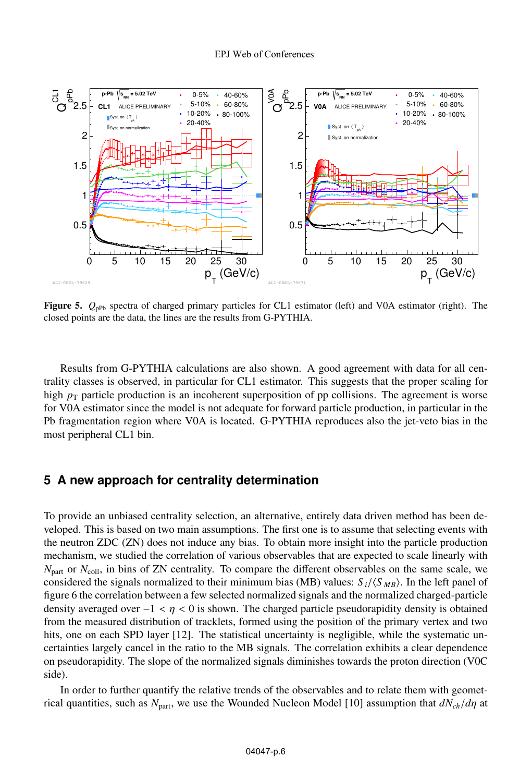

Figure 5.  $Q_{\text{pPb}}$  spectra of charged primary particles for CL1 estimator (left) and V0A estimator (right). The closed points are the data, the lines are the results from G-PYTHIA.

Results from G-PYTHIA calculations are also shown. A good agreement with data for all centrality classes is observed, in particular for CL1 estimator. This suggests that the proper scaling for high  $p<sub>T</sub>$  particle production is an incoherent superposition of pp collisions. The agreement is worse for V0A estimator since the model is not adequate for forward particle production, in particular in the Pb fragmentation region where V0A is located. G-PYTHIA reproduces also the jet-veto bias in the most peripheral CL1 bin.

### **5 A new approach for centrality determination**

To provide an unbiased centrality selection, an alternative, entirely data driven method has been developed. This is based on two main assumptions. The first one is to assume that selecting events with the neutron ZDC (ZN) does not induce any bias. To obtain more insight into the particle production mechanism, we studied the correlation of various observables that are expected to scale linearly with  $N_{\text{part}}$  or  $N_{\text{coll}}$ , in bins of ZN centrality. To compare the different observables on the same scale, we considered the signals normalized to their minimum bias (MB) values:  $S_i/\langle S_{MB}\rangle$ . In the left panel of figure 6 the correlation between a few selected normalized signals and the normalized charged-particle density averaged over  $-1 < \eta < 0$  is shown. The charged particle pseudorapidity density is obtained from the measured distribution of tracklets, formed using the position of the primary vertex and two hits, one on each SPD layer [12]. The statistical uncertainty is negligible, while the systematic uncertainties largely cancel in the ratio to the MB signals. The correlation exhibits a clear dependence on pseudorapidity. The slope of the normalized signals diminishes towards the proton direction (V0C side).

In order to further quantify the relative trends of the observables and to relate them with geometrical quantities, such as  $N_{part}$ , we use the Wounded Nucleon Model [10] assumption that  $dN_{ch}/d\eta$  at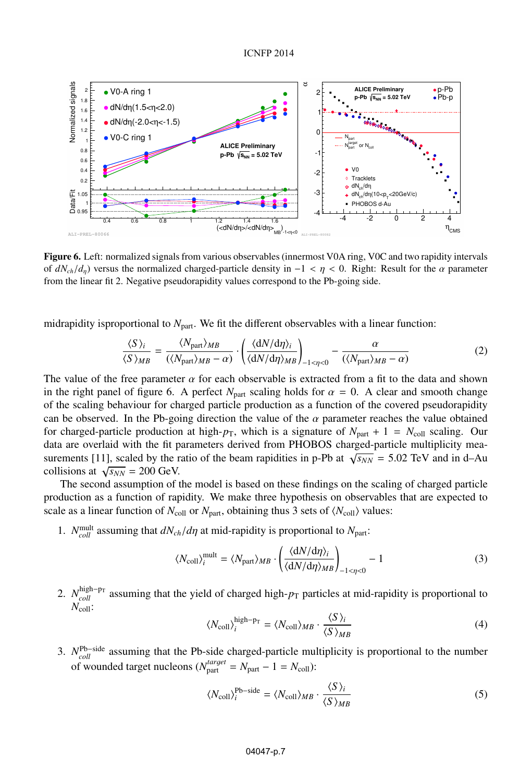

Figure 6. Left: normalized signals from various observables (innermost V0A ring, V0C and two rapidity intervals of  $dN_{ch}/d_n$ ) versus the normalized charged-particle density in  $-1 < \eta < 0$ . Right: Result for the  $\alpha$  parameter from the linear fit 2. Negative pseudorapidity values correspond to the Pb-going side.

midrapidity is proportional to  $N_{\text{part}}$ . We fit the different observables with a linear function:

$$
\frac{\langle S \rangle_i}{\langle S \rangle_{MB}} = \frac{\langle N_{\text{part}} \rangle_{MB}}{(\langle N_{\text{part}} \rangle_{MB} - \alpha)} \cdot \left( \frac{\langle dN/d\eta \rangle_i}{\langle dN/d\eta \rangle_{MB}} \right)_{-1 < \eta < 0} - \frac{\alpha}{(\langle N_{\text{part}} \rangle_{MB} - \alpha)} \tag{2}
$$

The value of the free parameter  $\alpha$  for each observable is extracted from a fit to the data and shown in the right panel of figure 6. A perfect  $N_{part}$  scaling holds for  $\alpha = 0$ . A clear and smooth change of the scaling behaviour for charged particle production as a function of the covered pseudorapidity can be observed. In the Pb-going direction the value of the  $\alpha$  parameter reaches the value obtained for charged-particle production at high- $p_T$ , which is a signature of  $N_{part} + 1 = N_{coll}$  scaling. Our data are overlaid with the fit parameters derived from PHOBOS charged-particle multiplicity measurements [11], scaled by the ratio of the beam rapidities in p-Pb at  $\sqrt{s_{NN}}$  = 5.02 TeV and in d–Au collisions at  $\sqrt{s_{NN}}$  = 200 GeV.

The second assumption of the model is based on these findings on the scaling of charged particle production as a function of rapidity. We make three hypothesis on observables that are expected to scale as a linear function of  $N_{\text{coll}}$  or  $N_{\text{part}}$ , obtaining thus 3 sets of  $\langle N_{\text{coll}} \rangle$  values:

1. *N*<sup>mult</sup> assuming that  $dN_{ch}/d\eta$  at mid-rapidity is proportional to  $N_{part}$ :

$$
\langle N_{\text{coll}} \rangle_i^{\text{mult}} = \langle N_{\text{part}} \rangle_{MB} \cdot \left( \frac{\langle dN/d\eta \rangle_i}{\langle dN/d\eta \rangle_{MB}} \right)_{-1 < \eta < 0} \tag{3}
$$

2. *N*<sup>high–p<sub>T</sub></sup> assuming that the yield of charged high- $p_T$  particles at mid-rapidity is proportional to  $\frac{N_{coll}}{N_{coll}}$ 

$$
\langle N_{\text{coll}} \rangle_i^{\text{high-pr}} = \langle N_{\text{coll}} \rangle_{MB} \cdot \frac{\langle S \rangle_i}{\langle S \rangle_{MB}}
$$
(4)

3. *N*Pb−side *coll* assuming that the Pb-side charged-particle multiplicity is proportional to the number of wounded target nucleons ( $N_{\text{part}}^{target} = N_{\text{part}} - 1 = N_{\text{coll}}$ ):

$$
\langle N_{\text{coll}} \rangle_i^{\text{Pb-side}} = \langle N_{\text{coll}} \rangle_{MB} \cdot \frac{\langle S \rangle_i}{\langle S \rangle_{MB}}
$$
 (5)

#### 04047-p.7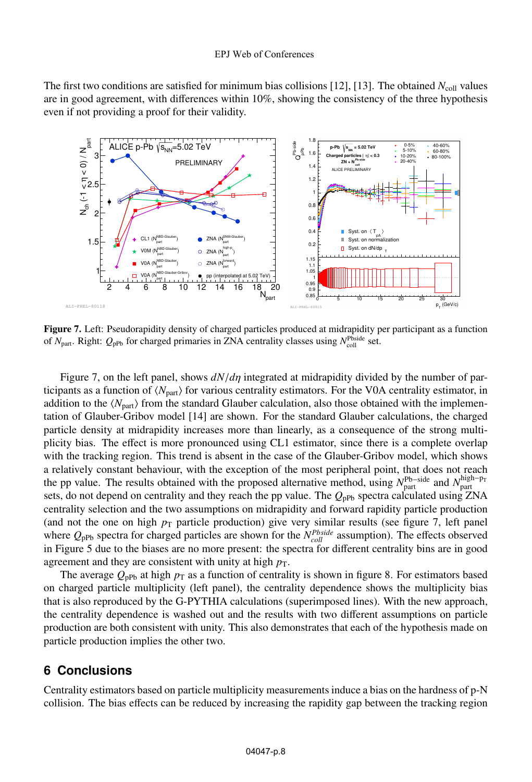#### EPJ Web of Conferences

The first two conditions are satisfied for minimum bias collisions [12], [13]. The obtained *N*coll values are in good agreement, with differences within 10%, showing the consistency of the three hypothesis even if not providing a proof for their validity.



Figure 7. Left: Pseudorapidity density of charged particles produced at midrapidity per participant as a function of  $N_{\text{part}}$ . Right:  $Q_{\text{pPb}}$  for charged primaries in ZNA centrality classes using  $N_{\text{coll}}^{\text{Pbside}}$  set.

Figure 7, on the left panel, shows *dN*/*d*η integrated at midrapidity divided by the number of participants as a function of  $\langle N_{\text{part}} \rangle$  for various centrality estimators. For the V0A centrality estimator, in addition to the  $\langle N_{\text{part}} \rangle$  from the standard Glauber calculation, also those obtained with the implementation of Glauber-Gribov model [14] are shown. For the standard Glauber calculations, the charged particle density at midrapidity increases more than linearly, as a consequence of the strong multiplicity bias. The effect is more pronounced using CL1 estimator, since there is a complete overlap with the tracking region. This trend is absent in the case of the Glauber-Gribov model, which shows a relatively constant behaviour, with the exception of the most peripheral point, that does not reach the pp value. The results obtained with the proposed alternative method, using  $N_{\text{part}}^{\text{Pb}-\text{side}}$  and  $N_{\text{part}}^{\text{high}-\text{pr}}$ sets, do not depend on centrality and they reach the pp value. The  $Q_{\text{pPb}}$  spectra calculated using ZNA centrality selection and the two assumptions on midrapidity and forward rapidity particle production (and not the one on high  $p<sub>T</sub>$  particle production) give very similar results (see figure 7, left panel where  $Q_{\text{pPb}}$  spectra for charged particles are shown for the  $N_{coll}^{Pbside}$  assumption). The effects observed in Figure 5 due to the biases are no more present: the spectra for different centrality bins are in good agreement and they are consistent with unity at high  $p<sub>T</sub>$ .

The average  $Q_{\text{pPb}}$  at high  $p_{\text{T}}$  as a function of centrality is shown in figure 8. For estimators based on charged particle multiplicity (left panel), the centrality dependence shows the multiplicity bias that is also reproduced by the G-PYTHIA calculations (superimposed lines). With the new approach, the centrality dependence is washed out and the results with two different assumptions on particle production are both consistent with unity. This also demonstrates that each of the hypothesis made on particle production implies the other two.

## **6 Conclusions**

Centrality estimators based on particle multiplicity measurements induce a bias on the hardness of p-N collision. The bias effects can be reduced by increasing the rapidity gap between the tracking region